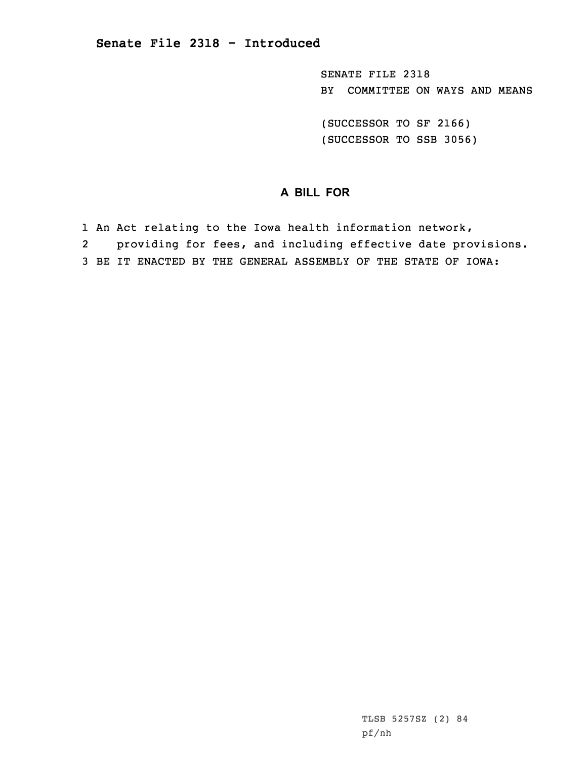SENATE FILE 2318 BY COMMITTEE ON WAYS AND MEANS

(SUCCESSOR TO SF 2166) (SUCCESSOR TO SSB 3056)

## **A BILL FOR**

- 1 An Act relating to the Iowa health information network,
- 2providing for fees, and including effective date provisions.
- 3 BE IT ENACTED BY THE GENERAL ASSEMBLY OF THE STATE OF IOWA: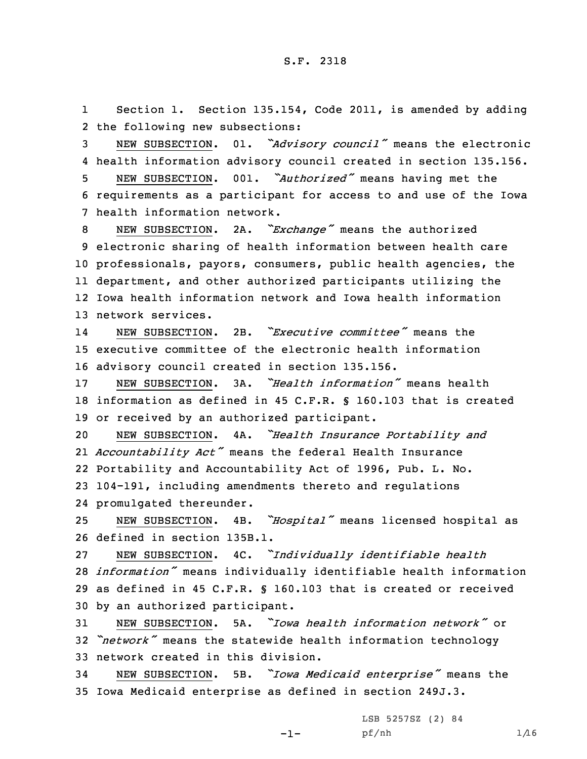1 Section 1. Section 135.154, Code 2011, is amended by adding 2 the following new subsections:

<sup>3</sup> NEW SUBSECTION. 01. *"Advisory council"* means the electronic 4 health information advisory council created in section 135.156.

<sup>5</sup> NEW SUBSECTION. 001. *"Authorized"* means having met the 6 requirements as <sup>a</sup> participant for access to and use of the Iowa 7 health information network.

 NEW SUBSECTION. 2A. *"Exchange"* means the authorized electronic sharing of health information between health care professionals, payors, consumers, public health agencies, the department, and other authorized participants utilizing the Iowa health information network and Iowa health information network services.

14 NEW SUBSECTION. 2B. *"Executive committee"* means the 15 executive committee of the electronic health information 16 advisory council created in section 135.156.

17 NEW SUBSECTION. 3A. *"Health information"* means health 18 information as defined in 45 C.F.R. § 160.103 that is created 19 or received by an authorized participant.

 NEW SUBSECTION. 4A. *"Health Insurance Portability and Accountability Act"* means the federal Health Insurance Portability and Accountability Act of 1996, Pub. L. No. 104-191, including amendments thereto and regulations promulgated thereunder.

<sup>25</sup> NEW SUBSECTION. 4B. *"Hospital"* means licensed hospital as 26 defined in section 135B.1.

 NEW SUBSECTION. 4C. *"Individually identifiable health information"* means individually identifiable health information as defined in 45 C.F.R. § 160.103 that is created or received by an authorized participant.

31 NEW SUBSECTION. 5A. *"Iowa health information network"* or <sup>32</sup> *"network"* means the statewide health information technology 33 network created in this division.

<sup>34</sup> NEW SUBSECTION. 5B. *"Iowa Medicaid enterprise"* means the 35 Iowa Medicaid enterprise as defined in section 249J.3.

-1-

LSB 5257SZ (2) 84 pf/nh 1/16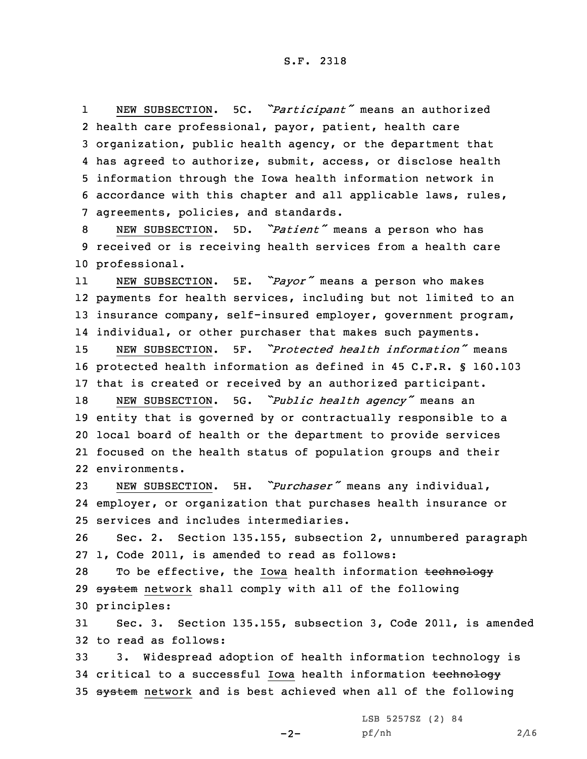1 NEW SUBSECTION. 5C. *"Participant"* means an authorized health care professional, payor, patient, health care organization, public health agency, or the department that has agreed to authorize, submit, access, or disclose health information through the Iowa health information network in accordance with this chapter and all applicable laws, rules, agreements, policies, and standards.

<sup>8</sup> NEW SUBSECTION. 5D. *"Patient"* means <sup>a</sup> person who has 9 received or is receiving health services from <sup>a</sup> health care 10 professional.

11 NEW SUBSECTION. 5E. *"Payor"* means <sup>a</sup> person who makes 12 payments for health services, including but not limited to an 13 insurance company, self-insured employer, government program, 14 individual, or other purchaser that makes such payments.

15 NEW SUBSECTION. 5F. *"Protected health information"* means 16 protected health information as defined in 45 C.F.R. § 160.103 17 that is created or received by an authorized participant.

 NEW SUBSECTION. 5G. *"Public health agency"* means an entity that is governed by or contractually responsible to <sup>a</sup> local board of health or the department to provide services focused on the health status of population groups and their environments.

<sup>23</sup> NEW SUBSECTION. 5H. *"Purchaser"* means any individual, 24 employer, or organization that purchases health insurance or 25 services and includes intermediaries.

26 Sec. 2. Section 135.155, subsection 2, unnumbered paragraph 27 1, Code 2011, is amended to read as follows:

28 To be effective, the Iowa health information technology 29 system network shall comply with all of the following 30 principles:

31 Sec. 3. Section 135.155, subsection 3, Code 2011, is amended 32 to read as follows:

33 3. Widespread adoption of health information technology is 34 critical to a successful Iowa health information technology 35 system network and is best achieved when all of the following

 $-2-$ 

LSB 5257SZ (2) 84 pf/nh 2/16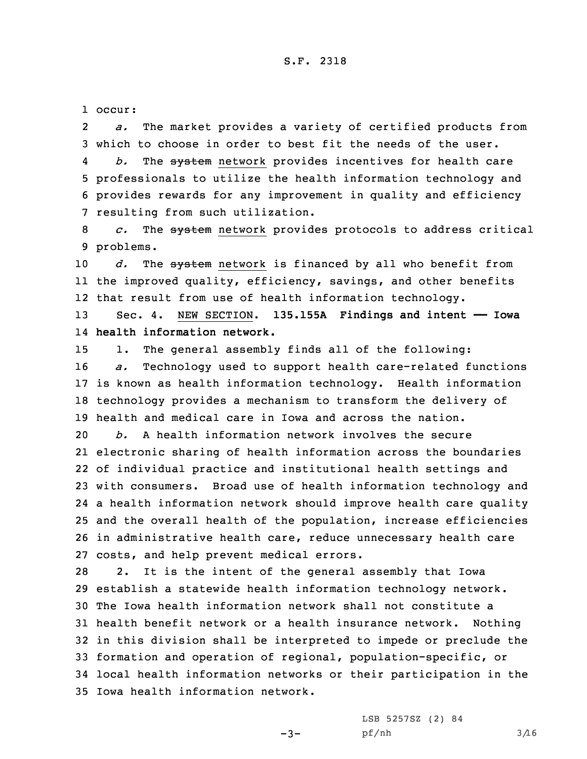1 occur:

2 *a.* The market provides <sup>a</sup> variety of certified products from 3 which to choose in order to best fit the needs of the user.

4 *b.* The system network provides incentives for health care 5 professionals to utilize the health information technology and 6 provides rewards for any improvement in quality and efficiency 7 resulting from such utilization.

8 *c.* The system network provides protocols to address critical 9 problems.

10 *d.* The system network is financed by all who benefit from 11 the improved quality, efficiency, savings, and other benefits 12 that result from use of health information technology.

13 Sec. 4. NEW SECTION. **135.155A Findings and intent —— Iowa** 14 **health information network.**

 1. The general assembly finds all of the following: *a.* Technology used to support health care-related functions is known as health information technology. Health information technology provides <sup>a</sup> mechanism to transform the delivery of health and medical care in Iowa and across the nation.

 *b.* A health information network involves the secure electronic sharing of health information across the boundaries of individual practice and institutional health settings and with consumers. Broad use of health information technology and <sup>a</sup> health information network should improve health care quality and the overall health of the population, increase efficiencies in administrative health care, reduce unnecessary health care costs, and help prevent medical errors.

 2. It is the intent of the general assembly that Iowa establish <sup>a</sup> statewide health information technology network. The Iowa health information network shall not constitute <sup>a</sup> health benefit network or <sup>a</sup> health insurance network. Nothing in this division shall be interpreted to impede or preclude the formation and operation of regional, population-specific, or local health information networks or their participation in the Iowa health information network.

-3-

LSB 5257SZ (2) 84 pf/nh 3/16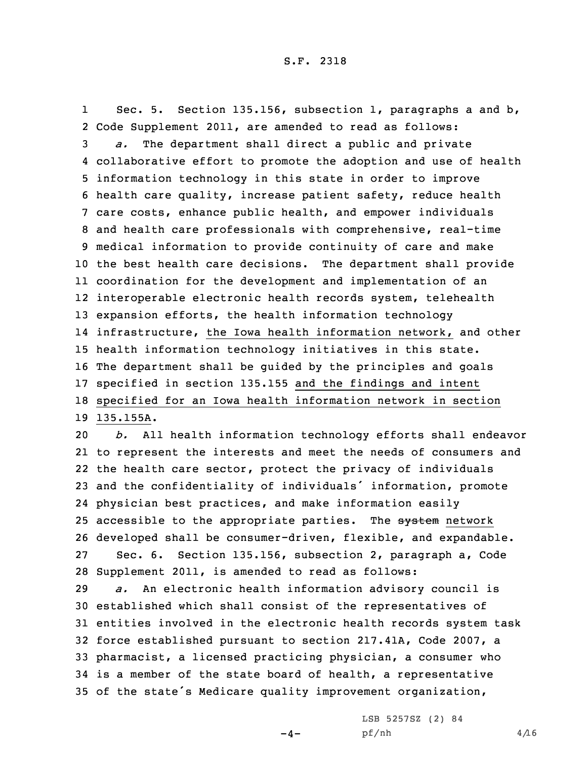1 Sec. 5. Section 135.156, subsection 1, paragraphs <sup>a</sup> and b, Code Supplement 2011, are amended to read as follows: *a.* The department shall direct <sup>a</sup> public and private collaborative effort to promote the adoption and use of health information technology in this state in order to improve health care quality, increase patient safety, reduce health care costs, enhance public health, and empower individuals and health care professionals with comprehensive, real-time medical information to provide continuity of care and make the best health care decisions. The department shall provide coordination for the development and implementation of an interoperable electronic health records system, telehealth expansion efforts, the health information technology infrastructure, the Iowa health information network, and other health information technology initiatives in this state. The department shall be guided by the principles and goals specified in section 135.155 and the findings and intent specified for an Iowa health information network in section 135.155A.

 *b.* All health information technology efforts shall endeavor to represent the interests and meet the needs of consumers and the health care sector, protect the privacy of individuals and the confidentiality of individuals' information, promote physician best practices, and make information easily 25 accessible to the appropriate parties. The system network developed shall be consumer-driven, flexible, and expandable. Sec. 6. Section 135.156, subsection 2, paragraph a, Code Supplement 2011, is amended to read as follows:

 *a.* An electronic health information advisory council is established which shall consist of the representatives of entities involved in the electronic health records system task force established pursuant to section 217.41A, Code 2007, <sup>a</sup> pharmacist, <sup>a</sup> licensed practicing physician, <sup>a</sup> consumer who is <sup>a</sup> member of the state board of health, <sup>a</sup> representative of the state's Medicare quality improvement organization,

 $-4-$ 

LSB 5257SZ (2) 84  $pf/nh$  4/16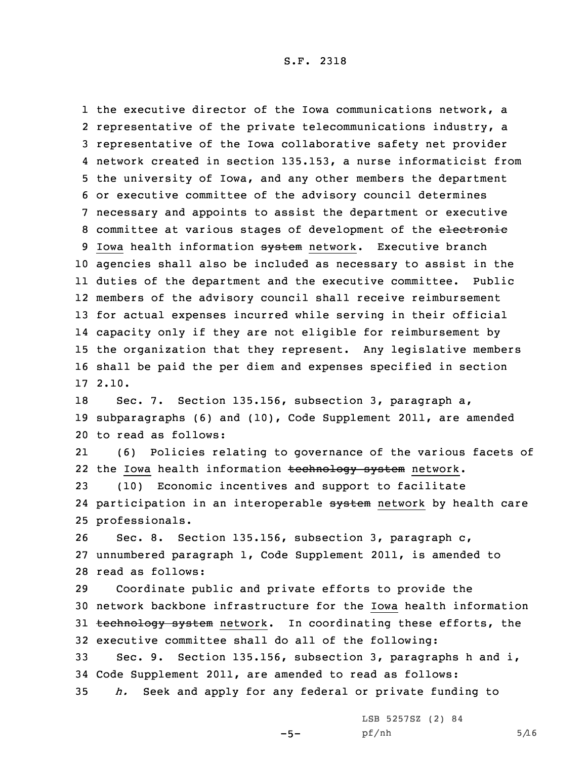the executive director of the Iowa communications network, <sup>a</sup> 2 representative of the private telecommunications industry, a representative of the Iowa collaborative safety net provider network created in section 135.153, <sup>a</sup> nurse informaticist from the university of Iowa, and any other members the department or executive committee of the advisory council determines necessary and appoints to assist the department or executive 8 committee at various stages of development of the electronic 9 Iowa health information system network. Executive branch agencies shall also be included as necessary to assist in the duties of the department and the executive committee. Public members of the advisory council shall receive reimbursement for actual expenses incurred while serving in their official capacity only if they are not eligible for reimbursement by the organization that they represent. Any legislative members shall be paid the per diem and expenses specified in section 17 2.10.

18 Sec. 7. Section 135.156, subsection 3, paragraph a, 19 subparagraphs (6) and (10), Code Supplement 2011, are amended 20 to read as follows:

21 (6) Policies relating to governance of the various facets of 22 the Iowa health information <del>technology system</del> network.

23 (10) Economic incentives and support to facilitate 24 participation in an interoperable <del>system</del> network by health care 25 professionals.

26 Sec. 8. Section 135.156, subsection 3, paragraph c, 27 unnumbered paragraph 1, Code Supplement 2011, is amended to 28 read as follows:

 Coordinate public and private efforts to provide the network backbone infrastructure for the Iowa health information 31 technology system network. In coordinating these efforts, the executive committee shall do all of the following:

33 Sec. 9. Section 135.156, subsection 3, paragraphs h and i, 34 Code Supplement 2011, are amended to read as follows: 35 *h.* Seek and apply for any federal or private funding to

 $-5-$ 

LSB 5257SZ (2) 84  $pf/nh$  5/16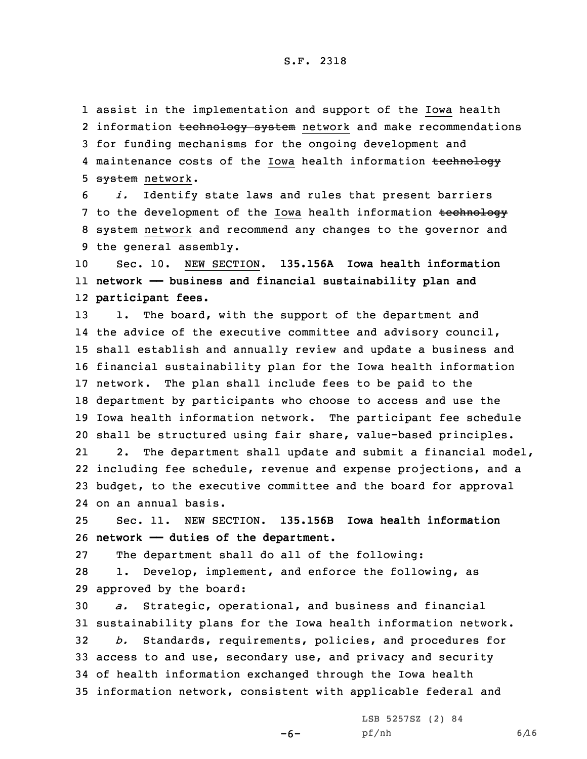1 assist in the implementation and support of the Iowa health 2 information <del>technology system</del> network and make recommendations 3 for funding mechanisms for the ongoing development and 4 maintenance costs of the Iowa health information <del>technology</del> 5 system network.

6 *i.* Identify state laws and rules that present barriers 7 to the development of the Iowa health information technology 8 system network and recommend any changes to the governor and 9 the general assembly.

10 Sec. 10. NEW SECTION. **135.156A Iowa health information** 11 **network —— business and financial sustainability plan and** 12 **participant fees.**

13 1. The board, with the support of the department and the advice of the executive committee and advisory council, shall establish and annually review and update <sup>a</sup> business and financial sustainability plan for the Iowa health information network. The plan shall include fees to be paid to the department by participants who choose to access and use the Iowa health information network. The participant fee schedule shall be structured using fair share, value-based principles. 212. The department shall update and submit <sup>a</sup> financial model,

22 including fee schedule, revenue and expense projections, and <sup>a</sup> 23 budget, to the executive committee and the board for approval 24 on an annual basis.

25 Sec. 11. NEW SECTION. **135.156B Iowa health information** 26 **network —— duties of the department.**

27 The department shall do all of the following:

28 1. Develop, implement, and enforce the following, as 29 approved by the board:

 *a.* Strategic, operational, and business and financial sustainability plans for the Iowa health information network. *b.* Standards, requirements, policies, and procedures for access to and use, secondary use, and privacy and security of health information exchanged through the Iowa health information network, consistent with applicable federal and

-6-

LSB 5257SZ (2) 84 pf/nh 6/16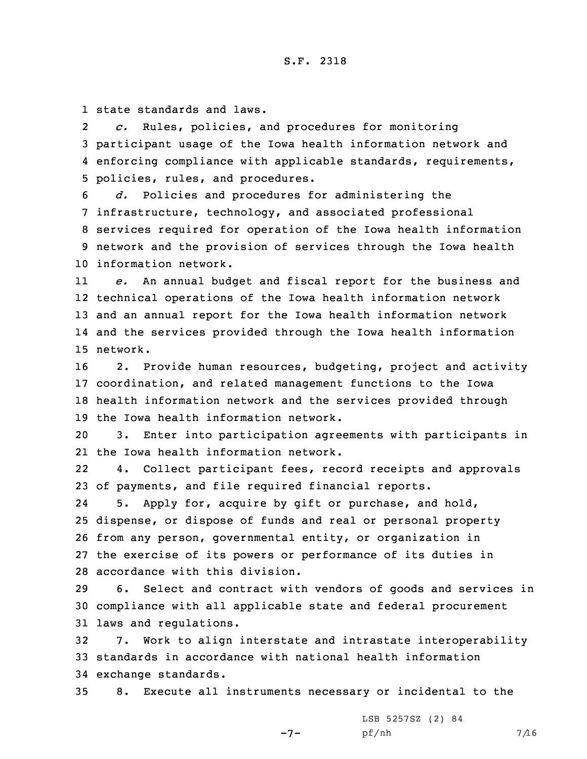1 state standards and laws.

2 *c.* Rules, policies, and procedures for monitoring 3 participant usage of the Iowa health information network and 4 enforcing compliance with applicable standards, requirements, 5 policies, rules, and procedures.

 *d.* Policies and procedures for administering the infrastructure, technology, and associated professional services required for operation of the Iowa health information network and the provision of services through the Iowa health information network.

11 *e.* An annual budget and fiscal report for the business and 12 technical operations of the Iowa health information network 13 and an annual report for the Iowa health information network 14 and the services provided through the Iowa health information 15 network.

 2. Provide human resources, budgeting, project and activity coordination, and related management functions to the Iowa health information network and the services provided through the Iowa health information network.

20 3. Enter into participation agreements with participants in 21 the Iowa health information network.

22 4. Collect participant fees, record receipts and approvals 23 of payments, and file required financial reports.

24 5. Apply for, acquire by gift or purchase, and hold, dispense, or dispose of funds and real or personal property from any person, governmental entity, or organization in the exercise of its powers or performance of its duties in accordance with this division.

29 6. Select and contract with vendors of goods and services in 30 compliance with all applicable state and federal procurement 31 laws and regulations.

32 7. Work to align interstate and intrastate interoperability 33 standards in accordance with national health information 34 exchange standards.

35 8. Execute all instruments necessary or incidental to the

 $-7-$ 

LSB 5257SZ (2) 84 pf/nh 7/16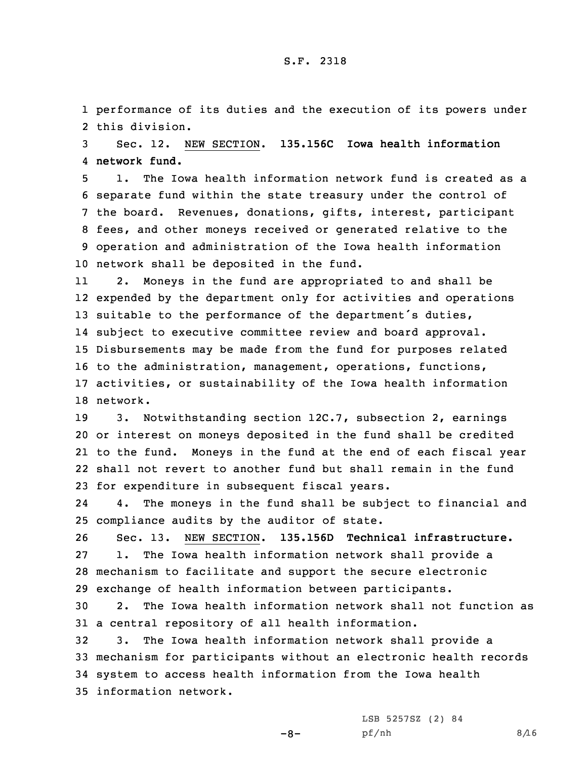1 performance of its duties and the execution of its powers under 2 this division.

3 Sec. 12. NEW SECTION. **135.156C Iowa health information** 4 **network fund.**

 1. The Iowa health information network fund is created as <sup>a</sup> separate fund within the state treasury under the control of the board. Revenues, donations, gifts, interest, participant fees, and other moneys received or generated relative to the operation and administration of the Iowa health information network shall be deposited in the fund.

11 2. Moneys in the fund are appropriated to and shall be 12 expended by the department only for activities and operations 13 suitable to the performance of the department's duties, 14 subject to executive committee review and board approval. 15 Disbursements may be made from the fund for purposes related 16 to the administration, management, operations, functions, 17 activities, or sustainability of the Iowa health information 18 network.

 3. Notwithstanding section 12C.7, subsection 2, earnings or interest on moneys deposited in the fund shall be credited to the fund. Moneys in the fund at the end of each fiscal year shall not revert to another fund but shall remain in the fund for expenditure in subsequent fiscal years.

24 4. The moneys in the fund shall be subject to financial and 25 compliance audits by the auditor of state.

 Sec. 13. NEW SECTION. **135.156D Technical infrastructure.** 1. The Iowa health information network shall provide <sup>a</sup> mechanism to facilitate and support the secure electronic exchange of health information between participants.

30 2. The Iowa health information network shall not function as 31 <sup>a</sup> central repository of all health information.

 3. The Iowa health information network shall provide <sup>a</sup> mechanism for participants without an electronic health records system to access health information from the Iowa health information network.

-8-

LSB 5257SZ (2) 84 pf/nh 8/16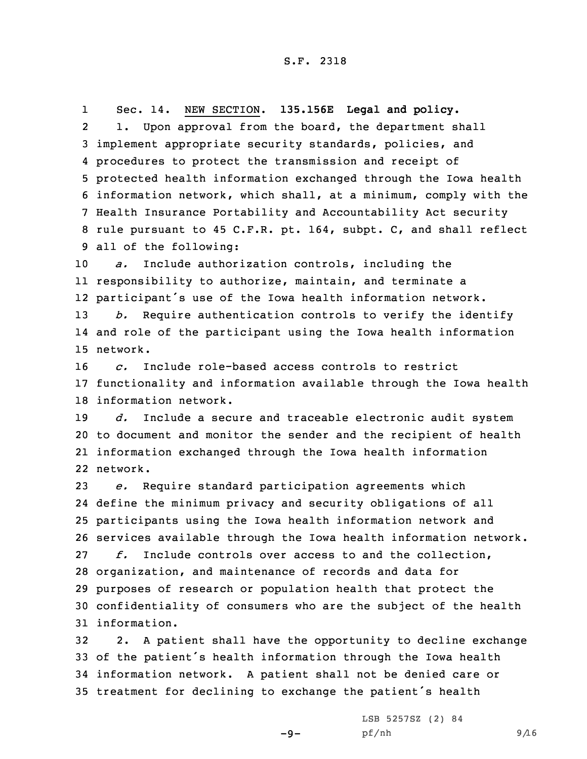1 Sec. 14. NEW SECTION. **135.156E Legal and policy.** 2 1. Upon approval from the board, the department shall implement appropriate security standards, policies, and procedures to protect the transmission and receipt of protected health information exchanged through the Iowa health information network, which shall, at <sup>a</sup> minimum, comply with the Health Insurance Portability and Accountability Act security rule pursuant to 45 C.F.R. pt. 164, subpt. C, and shall reflect all of the following:

 *a.* Include authorization controls, including the responsibility to authorize, maintain, and terminate <sup>a</sup> participant's use of the Iowa health information network. *b.* Require authentication controls to verify the identify and role of the participant using the Iowa health information

15 network.

16 *c.* Include role-based access controls to restrict 17 functionality and information available through the Iowa health 18 information network.

 *d.* Include <sup>a</sup> secure and traceable electronic audit system to document and monitor the sender and the recipient of health information exchanged through the Iowa health information 22 network.

 *e.* Require standard participation agreements which define the minimum privacy and security obligations of all participants using the Iowa health information network and services available through the Iowa health information network. *f.* Include controls over access to and the collection, organization, and maintenance of records and data for purposes of research or population health that protect the confidentiality of consumers who are the subject of the health information.

 2. <sup>A</sup> patient shall have the opportunity to decline exchange of the patient's health information through the Iowa health information network. <sup>A</sup> patient shall not be denied care or treatment for declining to exchange the patient's health

 $-9-$ 

LSB 5257SZ (2) 84 pf/nh 9/16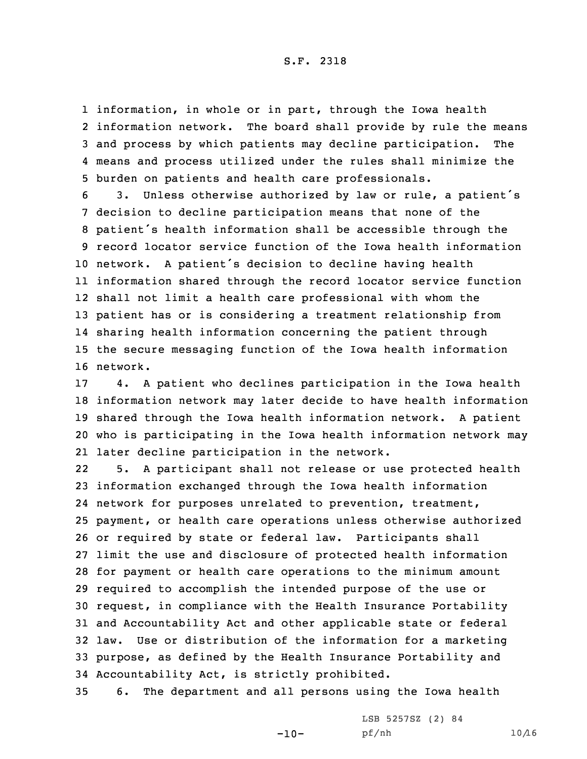## S.F. 2318

 information, in whole or in part, through the Iowa health information network. The board shall provide by rule the means and process by which patients may decline participation. The means and process utilized under the rules shall minimize the burden on patients and health care professionals.

 3. Unless otherwise authorized by law or rule, <sup>a</sup> patient's decision to decline participation means that none of the patient's health information shall be accessible through the record locator service function of the Iowa health information network. <sup>A</sup> patient's decision to decline having health information shared through the record locator service function shall not limit <sup>a</sup> health care professional with whom the patient has or is considering <sup>a</sup> treatment relationship from sharing health information concerning the patient through the secure messaging function of the Iowa health information 16 network.

 4. <sup>A</sup> patient who declines participation in the Iowa health information network may later decide to have health information shared through the Iowa health information network. <sup>A</sup> patient who is participating in the Iowa health information network may later decline participation in the network.

22 5. <sup>A</sup> participant shall not release or use protected health information exchanged through the Iowa health information network for purposes unrelated to prevention, treatment, payment, or health care operations unless otherwise authorized or required by state or federal law. Participants shall limit the use and disclosure of protected health information for payment or health care operations to the minimum amount required to accomplish the intended purpose of the use or request, in compliance with the Health Insurance Portability and Accountability Act and other applicable state or federal law. Use or distribution of the information for <sup>a</sup> marketing purpose, as defined by the Health Insurance Portability and Accountability Act, is strictly prohibited.

35 6. The department and all persons using the Iowa health

 $-10-$ 

LSB 5257SZ (2) 84 pf/nh 10/16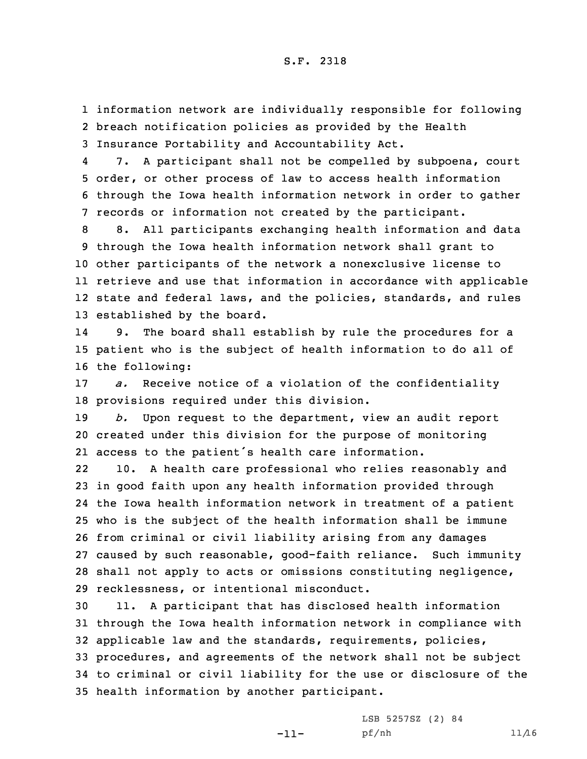1 information network are individually responsible for following 2 breach notification policies as provided by the Health 3 Insurance Portability and Accountability Act.

4 7. <sup>A</sup> participant shall not be compelled by subpoena, court 5 order, or other process of law to access health information 6 through the Iowa health information network in order to gather 7 records or information not created by the participant.

 8. All participants exchanging health information and data through the Iowa health information network shall grant to other participants of the network <sup>a</sup> nonexclusive license to retrieve and use that information in accordance with applicable state and federal laws, and the policies, standards, and rules established by the board.

14 9. The board shall establish by rule the procedures for <sup>a</sup> 15 patient who is the subject of health information to do all of 16 the following:

17 *a.* Receive notice of <sup>a</sup> violation of the confidentiality 18 provisions required under this division.

19 *b.* Upon request to the department, view an audit report 20 created under this division for the purpose of monitoring 21 access to the patient's health care information.

22 10. <sup>A</sup> health care professional who relies reasonably and in good faith upon any health information provided through the Iowa health information network in treatment of <sup>a</sup> patient who is the subject of the health information shall be immune from criminal or civil liability arising from any damages caused by such reasonable, good-faith reliance. Such immunity shall not apply to acts or omissions constituting negligence, recklessness, or intentional misconduct.

 11. <sup>A</sup> participant that has disclosed health information through the Iowa health information network in compliance with applicable law and the standards, requirements, policies, procedures, and agreements of the network shall not be subject to criminal or civil liability for the use or disclosure of the health information by another participant.

-11-

LSB 5257SZ (2) 84 pf/nh 11/16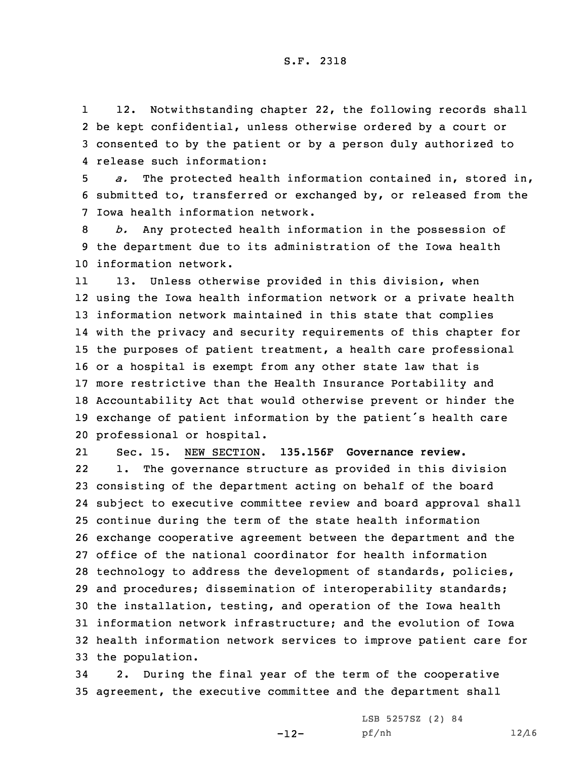1 12. Notwithstanding chapter 22, the following records shall 2 be kept confidential, unless otherwise ordered by <sup>a</sup> court or 3 consented to by the patient or by <sup>a</sup> person duly authorized to 4 release such information:

5 *a.* The protected health information contained in, stored in, 6 submitted to, transferred or exchanged by, or released from the 7 Iowa health information network.

8 *b.* Any protected health information in the possession of 9 the department due to its administration of the Iowa health 10 information network.

11 13. Unless otherwise provided in this division, when using the Iowa health information network or <sup>a</sup> private health information network maintained in this state that complies with the privacy and security requirements of this chapter for the purposes of patient treatment, <sup>a</sup> health care professional or <sup>a</sup> hospital is exempt from any other state law that is more restrictive than the Health Insurance Portability and Accountability Act that would otherwise prevent or hinder the exchange of patient information by the patient's health care professional or hospital.

21 Sec. 15. NEW SECTION. **135.156F Governance review.** 22 1. The governance structure as provided in this division consisting of the department acting on behalf of the board subject to executive committee review and board approval shall continue during the term of the state health information exchange cooperative agreement between the department and the office of the national coordinator for health information technology to address the development of standards, policies, and procedures; dissemination of interoperability standards; the installation, testing, and operation of the Iowa health information network infrastructure; and the evolution of Iowa health information network services to improve patient care for the population.

34 2. During the final year of the term of the cooperative 35 agreement, the executive committee and the department shall

-12-

LSB 5257SZ (2) 84 pf/nh 12/16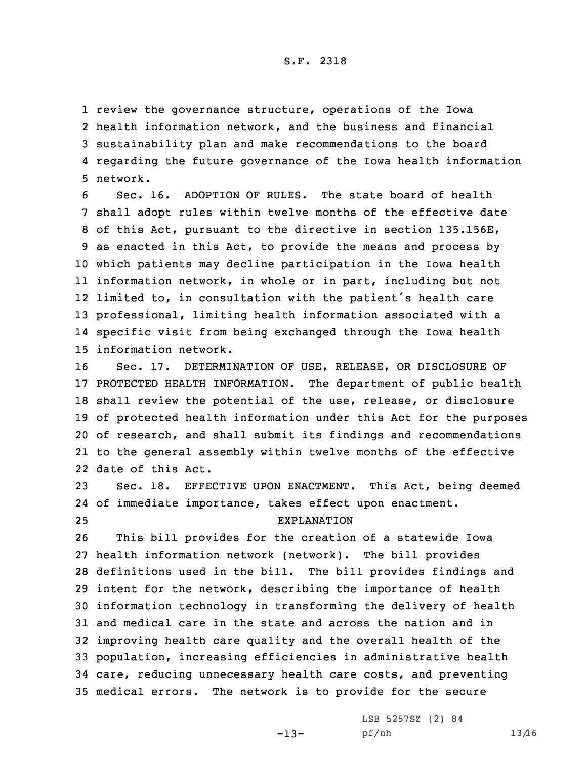review the governance structure, operations of the Iowa health information network, and the business and financial sustainability plan and make recommendations to the board regarding the future governance of the Iowa health information 5 network.

 Sec. 16. ADOPTION OF RULES. The state board of health shall adopt rules within twelve months of the effective date of this Act, pursuant to the directive in section 135.156E, as enacted in this Act, to provide the means and process by which patients may decline participation in the Iowa health information network, in whole or in part, including but not limited to, in consultation with the patient's health care professional, limiting health information associated with <sup>a</sup> specific visit from being exchanged through the Iowa health information network.

 Sec. 17. DETERMINATION OF USE, RELEASE, OR DISCLOSURE OF PROTECTED HEALTH INFORMATION. The department of public health shall review the potential of the use, release, or disclosure of protected health information under this Act for the purposes of research, and shall submit its findings and recommendations to the general assembly within twelve months of the effective date of this Act.

23 Sec. 18. EFFECTIVE UPON ENACTMENT. This Act, being deemed 24 of immediate importance, takes effect upon enactment. 25 EXPLANATION

 This bill provides for the creation of <sup>a</sup> statewide Iowa health information network (network). The bill provides definitions used in the bill. The bill provides findings and intent for the network, describing the importance of health information technology in transforming the delivery of health and medical care in the state and across the nation and in improving health care quality and the overall health of the population, increasing efficiencies in administrative health care, reducing unnecessary health care costs, and preventing medical errors. The network is to provide for the secure

-13-

LSB 5257SZ (2) 84 pf/nh 13/16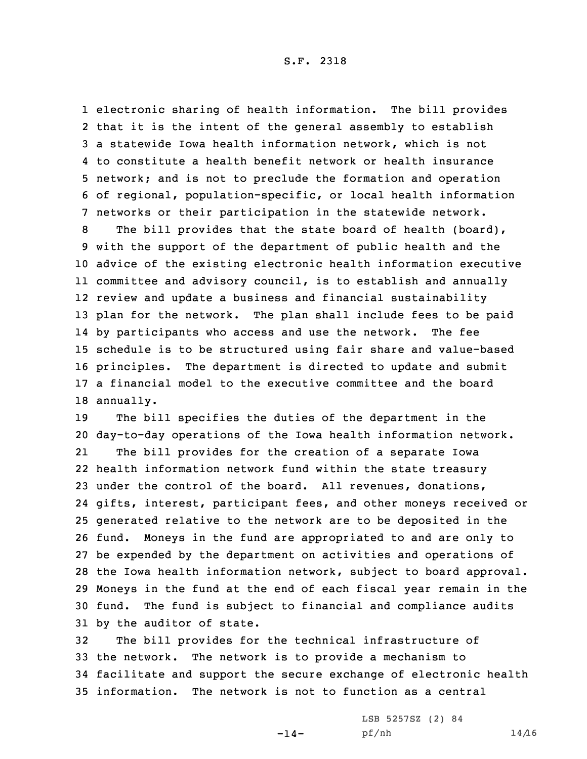electronic sharing of health information. The bill provides that it is the intent of the general assembly to establish <sup>a</sup> statewide Iowa health information network, which is not to constitute <sup>a</sup> health benefit network or health insurance network; and is not to preclude the formation and operation of regional, population-specific, or local health information networks or their participation in the statewide network.

 The bill provides that the state board of health (board), with the support of the department of public health and the advice of the existing electronic health information executive committee and advisory council, is to establish and annually review and update <sup>a</sup> business and financial sustainability plan for the network. The plan shall include fees to be paid by participants who access and use the network. The fee schedule is to be structured using fair share and value-based principles. The department is directed to update and submit <sup>a</sup> financial model to the executive committee and the board annually.

 The bill specifies the duties of the department in the day-to-day operations of the Iowa health information network. 21 The bill provides for the creation of <sup>a</sup> separate Iowa health information network fund within the state treasury under the control of the board. All revenues, donations, gifts, interest, participant fees, and other moneys received or generated relative to the network are to be deposited in the fund. Moneys in the fund are appropriated to and are only to be expended by the department on activities and operations of the Iowa health information network, subject to board approval. Moneys in the fund at the end of each fiscal year remain in the fund. The fund is subject to financial and compliance audits by the auditor of state.

 The bill provides for the technical infrastructure of the network. The network is to provide <sup>a</sup> mechanism to facilitate and support the secure exchange of electronic health information. The network is not to function as <sup>a</sup> central

 $-14-$ 

LSB 5257SZ (2) 84 pf/nh 14/16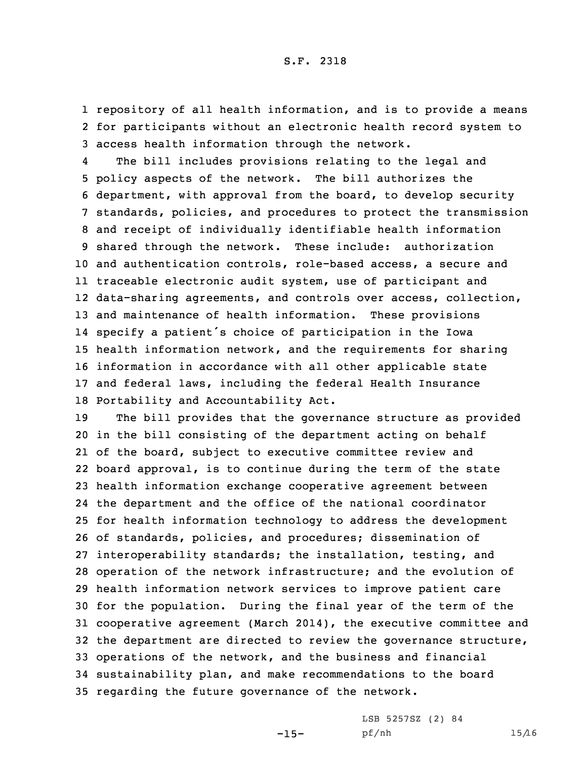1 repository of all health information, and is to provide <sup>a</sup> means 2 for participants without an electronic health record system to 3 access health information through the network.

4 The bill includes provisions relating to the legal and policy aspects of the network. The bill authorizes the department, with approval from the board, to develop security standards, policies, and procedures to protect the transmission and receipt of individually identifiable health information shared through the network. These include: authorization and authentication controls, role-based access, <sup>a</sup> secure and traceable electronic audit system, use of participant and data-sharing agreements, and controls over access, collection, and maintenance of health information. These provisions specify <sup>a</sup> patient's choice of participation in the Iowa health information network, and the requirements for sharing information in accordance with all other applicable state and federal laws, including the federal Health Insurance Portability and Accountability Act.

 The bill provides that the governance structure as provided in the bill consisting of the department acting on behalf of the board, subject to executive committee review and board approval, is to continue during the term of the state health information exchange cooperative agreement between the department and the office of the national coordinator for health information technology to address the development of standards, policies, and procedures; dissemination of interoperability standards; the installation, testing, and operation of the network infrastructure; and the evolution of health information network services to improve patient care for the population. During the final year of the term of the cooperative agreement (March 2014), the executive committee and the department are directed to review the governance structure, operations of the network, and the business and financial sustainability plan, and make recommendations to the board regarding the future governance of the network.

 $-15-$ 

LSB 5257SZ (2) 84 pf/nh 15/16